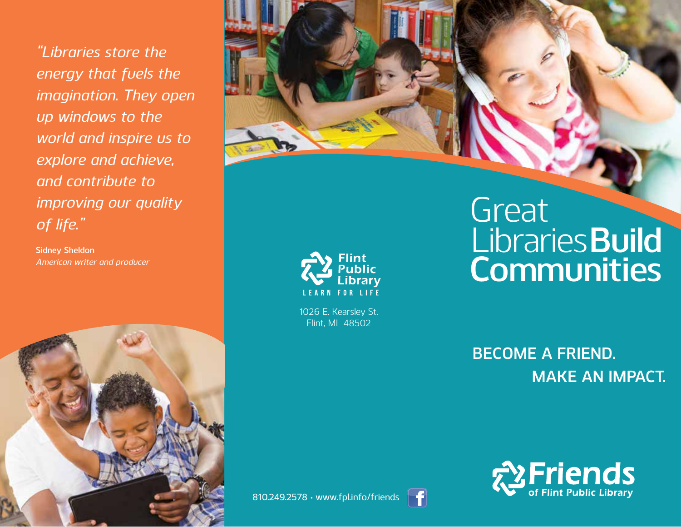*"Libraries store the energy that fuels the imagination. They open up windows to the world and inspire us to explore and achieve, and contribute to improving our quality of life."* 

**Sidney Sheldon** *American writer and producer*







1026 E. Kearsley St. Flint, MI 48502

# **Communities Great** Libraries **Build**

**Become a Friend. Make an Impact.**



810.249.2578 • www.fpl.info/friends